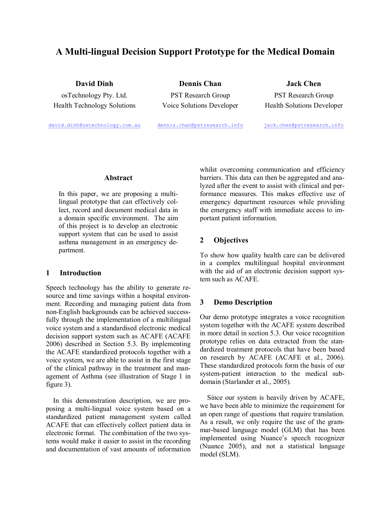# A Multi-lingual Decision Support Prototype for the Medical Domain

Health Technology Solutions Voice Solutions Developer Health Solutions Developer

**David Dinh Dennis Chan Jack Chen** osTechnology Pty. Ltd. PST Research Group PST Research Group

david.dinh@ostechnology.com.au dennis.chan@pstresearch.info jack.chen@pstresearch.info

## **Abstract**

In this paper, we are proposing a multilingual prototype that can effectively collect, record and document medical data in a domain specific environment. The aim of this project is to develop an electronic support system that can be used to assist asthma management in an emergency de partment.

## **1 Introduction**

Speech technology has the ability to generate re source and time savings within a hospital environ ment. Recording and managing patient data from non-English backgrounds can be achieved successfully through the implementation of a multilingual voice system and a standardised electronic medical decision support system such as ACAFE (ACAFE 2006) described in Section 5.3. By implementing the ACAFE standardized protocols together with a voice system, we are able to assist in the first stage of the clinical pathway in the treatment and man agement of Asthma (see illustration of Stage 1 in figure 3).

In this demonstration description, we are pro posing a multi-lingual voice system based on a standardized patient management system called ACAFE that can effectively collect patient data in electronic format. The combination of the two sys tems would make it easier to assist in the recording and documentation of vast amounts of information whilst overcoming communication and efficiency barriers. This data can then be aggregated and analyzed after the event to assist with clinical and performance measures. This makes effective use of emergency department resources while providing the emergency staff with immediate access to im portant patient information.

## **2 Objectives**

To show how quality health care can be delivered in a complex multilingual hospital environment with the aid of an electronic decision support system such as ACAFE.

## **3 Demo Description**

Our demo prototype integrates a voice recognition system together with the ACAFE system described in more detail in section 5.3. Our voice recognition prototype relies on data extracted from the stan dardized treatment protocols that have been based on research by ACAFE (ACAFE et al., 2006). These standardized protocols form the basis of our system-patient interaction to the medical subdomain (Starlander et al., 2005).

Since our system is heavily driven by ACAFE, we have been able to minimize the requirement for an open range of questions that require translation. As a result, we only require the use of the grammar-based language model (GLM) that has been implemented using Nuance's speech recognizer (Nuance 2005), and not a statistical language model (SLM).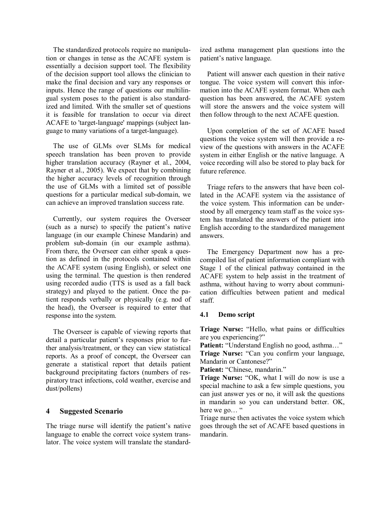The standardized protocols require no manipulation or changes in tense as the ACAFE system is essentially a decision support tool. The flexibility of the decision support tool allows the clinician to make the final decision and vary any responses or inputs. Hence the range of questions our multilin gual system poses to the patient is also standardized and limited. With the smaller set of questions it is feasible for translation to occur via direct ACAFE to 'target-language' mappings (subject language to many variations of a target-language).

The use of GLMs over SLMs for medical speech translation has been proven to provide higher translation accuracy (Rayner et al., 2004, Rayner et al., 2005). We expect that by combining the higher accuracy levels of recognition through the use of GLMs with a limited set of possible questions for a particular medical sub-domain, we can achieve an improved translation success rate.

Currently, our system requires the Overseer (such as a nurse) to specify the patient's native language (in our example Chinese Mandarin) and problem sub-domain (in our example asthma). From there, the Overseer can either speak a ques tion as defined in the protocols contained within the ACAFE system (using English), or select one using the terminal. The question is then rendered using recorded audio (TTS is used as a fall back strategy) and played to the patient. Once the patient responds verbally or physically (e.g. nod of the head), the Overseer is required to enter that response into the system.

The Overseer is capable of viewing reports that detail a particular patient's responses prior to further analysis/treatment, or they can view statistical reports. As a proof of concept, the Overseer can generate a statistical report that details patient background precipitating factors (numbers of res piratory tract infections, cold weather, exercise and dust/pollens)

## **4 Suggested Scenario**

The triage nurse will identify the patient's native language to enable the correct voice system trans lator. The voice system will translate the standardized asthma management plan questions into the patient's native language.

Patient will answer each question in their native tongue. The voice system will convert this infor mation into the ACAFE system format. When each question has been answered, the ACAFE system will store the answers and the voice system will then follow through to the next ACAFE question.

Upon completion of the set of ACAFE based questions the voice system will then provide a re view of the questions with answers in the ACAFE system in either English or the native language. A voice recording will also be stored to play back for future reference.

Triage refers to the answers that have been col lated in the ACAFE system via the assistance of the voice system. This information can be under stood by all emergency team staff as the voice sys tem has translated the answers of the patient into English according to the standardized management answers.

The Emergency Department now has a pre compiled list of patient information compliant with Stage 1 of the clinical pathway contained in the ACAFE system to help assist in the treatment of asthma, without having to worry about communication difficulties between patient and medical staff.

## **4.1 Demo script**

**Triage Nurse:** "Hello, what pains or difficulties are you experiencing?"

Patient: "Understand English no good, asthma..." **Triage Nurse:** "Can you confirm your language,

Mandarin or Cantonese?"

**Patient:** "Chinese, mandarin."

**Triage Nurse:** "OK, what I will do now is use a special machine to ask a few simple questions, you can just answer yes or no, it will ask the questions in mandarin so you can understand better. OK, here we go... "

Triage nurse then activates the voice system which goes through the set of ACAFE based questions in mandarin.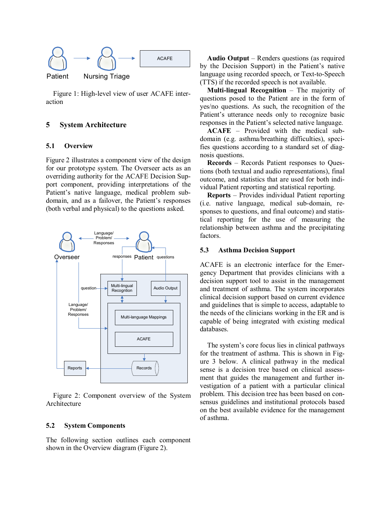

Figure 1: High-level view of user ACAFE interaction

## **5 System Architecture**

#### **5.1 Overview**

Figure 2 illustrates a component view of the design for our prototype system. The Overseer acts as an overriding authority for the ACAFE Decision Support component, providing interpretations of the Patient's native language, medical problem sub domain, and as a failover, the Patient's responses (both verbal and physical) to the questions asked.



Figure 2: Component overview of the System Architecture

### **5.2 System Components**

The following section outlines each component shown in the Overview diagram (Figure 2).

**Audio Output** – Renders questions (as required by the Decision Support) in the Patient's native language using recorded speech, or Text-to-Speech (TTS) if the recorded speech is not available.

**Multi-lingual Recognition** – The majority of questions posed to the Patient are in the form of yes/no questions. As such, the recognition of the Patient's utterance needs only to recognize basic responses in the Patient's selected native language.

**ACAFE** – Provided with the medical sub domain (e.g. asthma/breathing difficulties), specifies questions according to a standard set of diag nosis questions.

**Records** – Records Patient responses to Questions (both textual and audio representations), final outcome, and statistics that are used for both indi vidual Patient reporting and statistical reporting.

**Reports** – Provides individual Patient reporting (i.e. native language, medical sub-domain, responses to questions, and final outcome) and statis tical reporting for the use of measuring the relationship between asthma and the precipitating factors.

#### **5.3 Asthma Decision Support**

ACAFE is an electronic interface for the Emer gency Department that provides clinicians with a decision support tool to assist in the management and treatment of asthma. The system incorporates clinical decision support based on current evidence and guidelines that is simple to access, adaptable to the needs of the clinicians working in the ER and is capable of being integrated with existing medical databases.

The system's core focus lies in clinical pathways for the treatment of asthma. This is shown in Fig ure 3 below. A clinical pathway in the medical sense is a decision tree based on clinical assessment that guides the management and further investigation of a patient with a particular clinical problem. This decision tree has been based on con sensus guidelines and institutional protocols based on the best available evidence for the management of asthma.